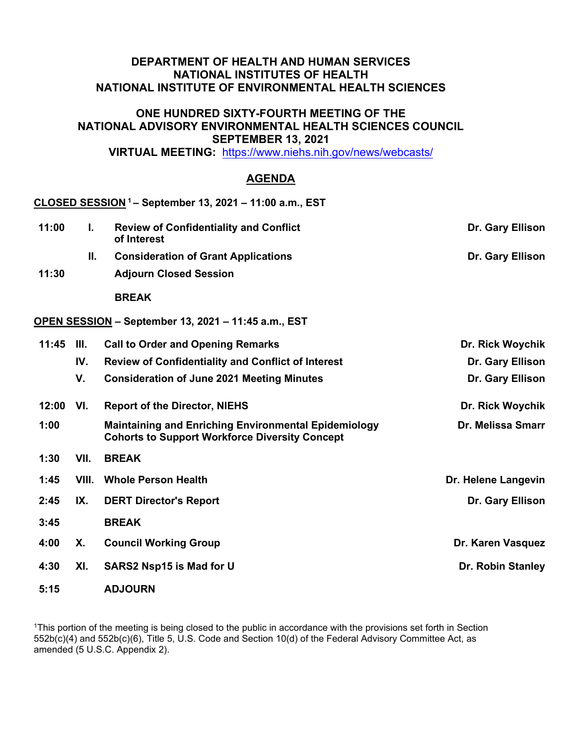## **DEPARTMENT OF HEALTH AND HUMAN SERVICES NATIONAL INSTITUTES OF HEALTH NATIONAL INSTITUTE OF ENVIRONMENTAL HEALTH SCIENCES**

## **ONE HUNDRED SIXTY-FOURTH MEETING OF THE NATIONAL ADVISORY ENVIRONMENTAL HEALTH SCIENCES COUNCIL SEPTEMBER 13, 2021**

**VIRTUAL MEETING:** <https://www.niehs.nih.gov/news/webcasts/>

## **AGENDA**

|       |       | CLOSED SESSION <sup>1</sup> - September 13, 2021 - 11:00 a.m., EST                                                   |                     |
|-------|-------|----------------------------------------------------------------------------------------------------------------------|---------------------|
| 11:00 | Ι.    | <b>Review of Confidentiality and Conflict</b><br>of Interest                                                         | Dr. Gary Ellison    |
|       | II.   | <b>Consideration of Grant Applications</b>                                                                           | Dr. Gary Ellison    |
| 11:30 |       | <b>Adjourn Closed Session</b>                                                                                        |                     |
|       |       | <b>BREAK</b>                                                                                                         |                     |
|       |       | OPEN SESSION - September 13, 2021 - 11:45 a.m., EST                                                                  |                     |
| 11:45 | III.  | <b>Call to Order and Opening Remarks</b>                                                                             | Dr. Rick Woychik    |
|       | IV.   | <b>Review of Confidentiality and Conflict of Interest</b>                                                            | Dr. Gary Ellison    |
|       | V.    | <b>Consideration of June 2021 Meeting Minutes</b>                                                                    | Dr. Gary Ellison    |
| 12:00 | VI.   | <b>Report of the Director, NIEHS</b>                                                                                 | Dr. Rick Woychik    |
| 1:00  |       | <b>Maintaining and Enriching Environmental Epidemiology</b><br><b>Cohorts to Support Workforce Diversity Concept</b> | Dr. Melissa Smarr   |
| 1:30  | VII.  | <b>BREAK</b>                                                                                                         |                     |
| 1:45  | VIII. | <b>Whole Person Health</b>                                                                                           | Dr. Helene Langevin |
| 2:45  | IX.   | <b>DERT Director's Report</b>                                                                                        | Dr. Gary Ellison    |
| 3:45  |       | <b>BREAK</b>                                                                                                         |                     |
| 4:00  | Х.    | <b>Council Working Group</b>                                                                                         | Dr. Karen Vasquez   |
| 4:30  | XI.   | <b>SARS2 Nsp15 is Mad for U</b>                                                                                      | Dr. Robin Stanley   |
| 5:15  |       | <b>ADJOURN</b>                                                                                                       |                     |

<sup>1</sup>This portion of the meeting is being closed to the public in accordance with the provisions set forth in Section 552b(c)(4) and 552b(c)(6), Title 5, U.S. Code and Section 10(d) of the Federal Advisory Committee Act, as amended (5 U.S.C. Appendix 2).